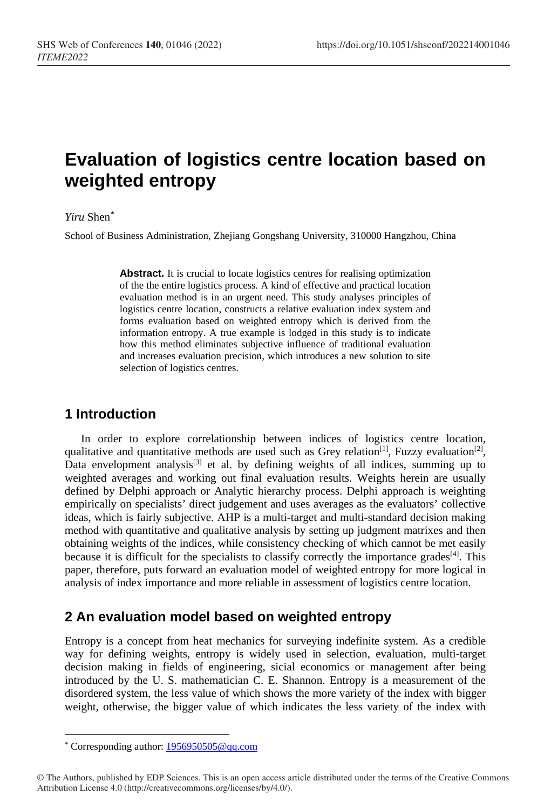# **Evaluation of logistics centre location based on weighted entropy**

#### *Yiru* Shen[\\*](#page-0-0)

School of Business Administration, Zhejiang Gongshang University, 310000 Hangzhou, China

Abstract. It is crucial to locate logistics centres for realising optimization of the the entire logistics process. A kind of effective and practical location evaluation method is in an urgent need. This study analyses principles of logistics centre location, constructs a relative evaluation index system and forms evaluation based on weighted entropy which is derived from the information entropy. A true example is lodged in this study is to indicate how this method eliminates subjective influence of traditional evaluation and increases evaluation precision, which introduces a new solution to site selection of logistics centres.

## **1 Introduction**

In order to explore correlationship between indices of logistics centre location, qualitative and quantitative methods are used such as Grey relation<sup>[1]</sup>, Fuzzy evaluation<sup>[2]</sup>, Data envelopment analysis<sup>[3]</sup> et al. by defining weights of all indices, summing up to weighted averages and working out final evaluation results. Weights herein are usually defined by Delphi approach or Analytic hierarchy process. Delphi approach is weighting empirically on specialists' direct judgement and uses averages as the evaluators' collective ideas, which is fairly subjective. AHP is a multi-target and multi-standard decision making method with quantitative and qualitative analysis by setting up judgment matrixes and then obtaining weights of the indices, while consistency checking of which cannot be met easily because it is difficult for the specialists to classify correctly the importance grades<sup>[4]</sup>. This paper, therefore, puts forward an evaluation model of weighted entropy for more logical in analysis of index importance and more reliable in assessment of logistics centre location.

## **2 An evaluation model based on weighted entropy**

Entropy is a concept from heat mechanics for surveying indefinite system. As a credible way for defining weights, entropy is widely used in selection, evaluation, multi-target decision making in fields of engineering, sicial economics or management after being introduced by the U. S. mathematician C. E. Shannon. Entropy is a measurement of the disordered system, the less value of which shows the more variety of the index with bigger weight, otherwise, the bigger value of which indicates the less variety of the index with

 $\overline{a}$ \* Corresponding author: 1956950505@qq.com

<span id="page-0-0"></span><sup>©</sup> The Authors, published by EDP Sciences. This is an open access article distributed under the terms of the Creative Commons Attribution License 4.0 (http://creativecommons.org/licenses/by/4.0/).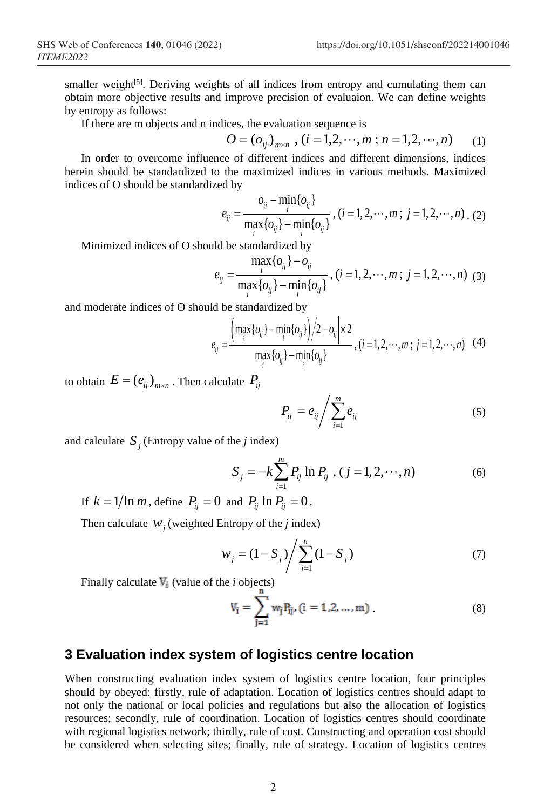smaller weight<sup>[5]</sup>. Deriving weights of all indices from entropy and cumulating them can obtain more objective results and improve precision of evaluaion. We can define weights by entropy as follows:

If there are m objects and n indices, the evaluation sequence is

$$
O = (o_{ij})_{m \times n}, (i = 1, 2, \cdots, m; n = 1, 2, \cdots, n)
$$
 (1)

In order to overcome influence of different indices and different dimensions, indices herein should be standardized to the maximized indices in various methods. Maximized indices of O should be standardized by

$$
e_{ij} = \frac{o_{ij} - \min_{i} \{o_{ij}\}}{\max_{i} \{o_{ij}\} - \min_{i} \{o_{ij}\}}, (i = 1, 2, \cdots, m; j = 1, 2, \cdots, n)
$$
 (2)

Minimized indices of O should be standardized by

$$
e_{ij} = \frac{\max\limits_{i} \{o_{ij}\} - o_{ij}}{\max\limits_{i} \{o_{ij}\} - \min\limits_{i} \{o_{ij}\}}, (i = 1, 2, \cdots, m; j = 1, 2, \cdots, n)
$$
 (3)

and moderate indices of O should be standardized by

$$
e_{ij} = \frac{\left(\max_{i} \{o_{ij}\} - \min_{i} \{o_{ij}\}\right)/2 - o_{ij} \left| \times 2\right.}{\max_{i} \{o_{ij}\} - \min_{i} \{o_{ij}\}} , (i = 1, 2, \cdots, m; j = 1, 2, \cdots, n)
$$
 (4)

to obtain  $E = (e_{ij})_{m \times n}$ . Then calculate  $P_{ij}$ 

$$
P_{ij} = e_{ij} \Bigg/ \sum_{i=1}^{m} e_{ij} \tag{5}
$$

and calculate  $S_i$  (Entropy value of the *j* index)

$$
S_j = -k \sum_{i=1}^{m} P_{ij} \ln P_{ij}, (j = 1, 2, \cdots, n)
$$
 (6)

If 
$$
k = 1/\ln m
$$
, define  $P_{ij} = 0$  and  $P_{ij} \ln P_{ij} = 0$ .

Then calculate  $W_i$  (weighted Entropy of the *j* index)

$$
w_j = (1 - S_j) / \sum_{j=1}^{n} (1 - S_j)
$$
 (7)

Finally calculate  $\Psi_i$  (value of the *i* objects)

$$
V_i = \sum_{j=1}^{n} w_j P_{ij}, (i = 1, 2, ..., m)
$$
 (8)

## **3 Evaluation index system of logistics centre location**

When constructing evaluation index system of logistics centre location, four principles should by obeyed: firstly, rule of adaptation. Location of logistics centres should adapt to not only the national or local policies and regulations but also the allocation of logistics resources; secondly, rule of coordination. Location of logistics centres should coordinate with regional logistics network; thirdly, rule of cost. Constructing and operation cost should be considered when selecting sites; finally, rule of strategy. Location of logistics centres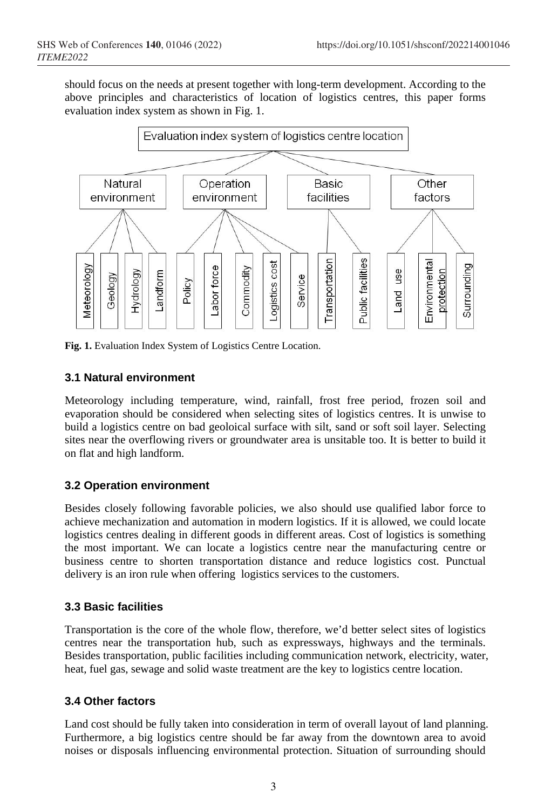should focus on the needs at present together with long-term development. According to the above principles and characteristics of location of logistics centres, this paper forms evaluation index system as shown in Fig. 1.



**Fig. 1.** Evaluation Index System of Logistics Centre Location.

### **3.1 Natural environment**

Meteorology including temperature, wind, rainfall, frost free period, frozen soil and evaporation should be considered when selecting sites of logistics centres. It is unwise to build a logistics centre on bad geoloical surface with silt, sand or soft soil layer. Selecting sites near the overflowing rivers or groundwater area is unsitable too. It is better to build it on flat and high landform.

#### **3.2 Operation environment**

Besides closely following favorable policies, we also should use qualified labor force to achieve mechanization and automation in modern logistics. If it is allowed, we could locate logistics centres dealing in different goods in different areas. Cost of logistics is something the most important. We can locate a logistics centre near the manufacturing centre or business centre to shorten transportation distance and reduce logistics cost. Punctual delivery is an iron rule when offering logistics services to the customers.

## **3.3 Basic facilities**

Transportation is the core of the whole flow, therefore, we'd better select sites of logistics centres near the transportation hub, such as expressways, highways and the terminals. Besides transportation, public facilities including communication network, electricity, water, heat, fuel gas, sewage and solid waste treatment are the key to logistics centre location.

#### **3.4 Other factors**

Land cost should be fully taken into consideration in term of overall layout of land planning. Furthermore, a big logistics centre should be far away from the downtown area to avoid noises or disposals influencing environmental protection. Situation of surrounding should